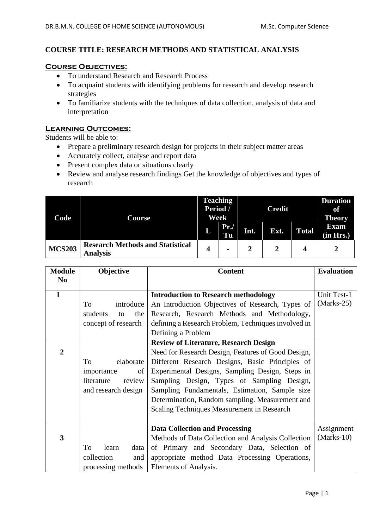# **COURSE TITLE: RESEARCH METHODS AND STATISTICAL ANALYSIS**

#### **Course Objectives:**

- To understand Research and Research Process
- To acquaint students with identifying problems for research and develop research strategies
- To familiarize students with the techniques of data collection, analysis of data and interpretation

## **Learning Outcomes:**

Students will be able to:

- Prepare a preliminary research design for projects in their subject matter areas
- Accurately collect, analyse and report data
- Present complex data or situations clearly
- Review and analyse research findings Get the knowledge of objectives and types of research

| Code          | Course                                                     | <b>Teaching</b><br>Period /<br>Week |                | <b>Credit</b> |      |              | <b>Duration</b><br>of<br><b>Theory</b> |
|---------------|------------------------------------------------------------|-------------------------------------|----------------|---------------|------|--------------|----------------------------------------|
|               |                                                            | L                                   | $Pr$ ./<br>Tu  | Int.          | Ext. | <b>Total</b> | <b>Exam</b><br>(in Hrs.)               |
| <b>MCS203</b> | <b>Research Methods and Statistical</b><br><b>Analysis</b> | 4                                   | $\blacksquare$ |               |      | 4            |                                        |

| <b>Module</b>  | Objective             | <b>Content</b>                                      | <b>Evaluation</b> |
|----------------|-----------------------|-----------------------------------------------------|-------------------|
| N <sub>0</sub> |                       |                                                     |                   |
| $\mathbf{1}$   |                       | <b>Introduction to Research methodology</b>         | Unit Test-1       |
|                | introduce<br>To       | An Introduction Objectives of Research, Types of    | $(Marks-25)$      |
|                | students<br>the<br>to | Research, Research Methods and Methodology,         |                   |
|                | concept of research   | defining a Research Problem, Techniques involved in |                   |
|                |                       | Defining a Problem                                  |                   |
|                |                       | <b>Review of Literature, Research Design</b>        |                   |
| $\overline{2}$ |                       | Need for Research Design, Features of Good Design,  |                   |
|                | elaborate<br>To       | Different Research Designs, Basic Principles of     |                   |
|                | of  <br>importance    | Experimental Designs, Sampling Design, Steps in     |                   |
|                | literature<br>review  | Sampling Design, Types of Sampling Design,          |                   |
|                | and research design   | Sampling Fundamentals, Estimation, Sample size      |                   |
|                |                       | Determination, Random sampling. Measurement and     |                   |
|                |                       | Scaling Techniques Measurement in Research          |                   |
|                |                       |                                                     |                   |
|                |                       | <b>Data Collection and Processing</b>               | Assignment        |
| 3              |                       | Methods of Data Collection and Analysis Collection  | $(Marks-10)$      |
|                | To<br>learn<br>data   | of Primary and Secondary Data, Selection of         |                   |
|                | collection<br>and     | appropriate method Data Processing Operations,      |                   |
|                | processing methods    | Elements of Analysis.                               |                   |